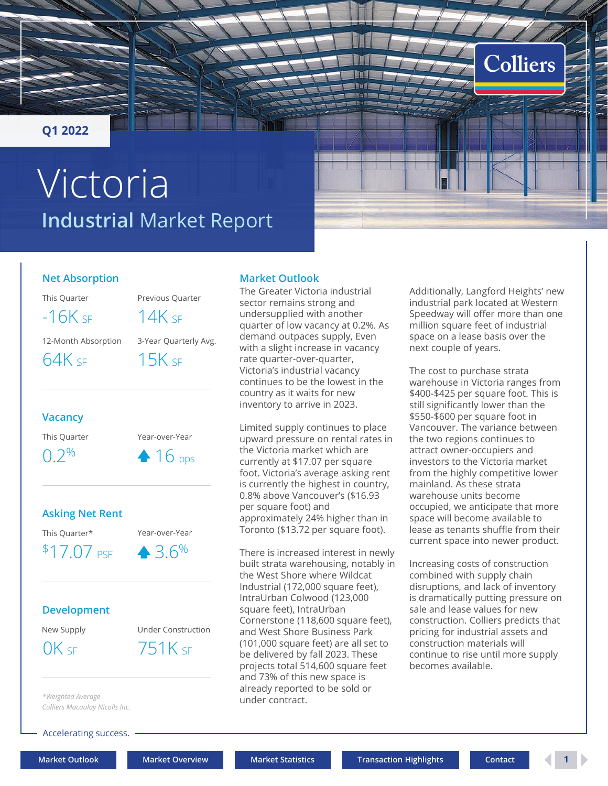## <span id="page-0-0"></span>**Q1 2022**

# **Industrial** Market Report Victoria

## **Net Absorption**

This Quarter Previous Quarter

 $-16K$  sf  $14K$  sf

12-Month Absorption 3-Year Quarterly Avg.

 $64K$  SF  $15K$  SF

## **Vacancy**

This Quarter Year-over-Year

 $0.2\%$  4 16 bps

## **Asking Net Rent**

 $$17.07$  PSF  $4.3.6\%$ 



## **Development**

New Supply Under Construction

 $OK$  SF  $751K$  SF

#### **Market Outlook**

The Greater Victoria industrial sector remains strong and undersupplied with another quarter of low vacancy at 0.2%. As demand outpaces supply, Even with a slight increase in vacancy rate quarter-over-quarter, Victoria's industrial vacancy continues to be the lowest in the country as it waits for new inventory to arrive in 2023.

Limited supply continues to place upward pressure on rental rates in the Victoria market which are currently at \$17.07 per square foot. Victoria's average asking rent is currently the highest in country, 0.8% above Vancouver's (\$16.93 per square foot) and approximately 24% higher than in Toronto (\$13.72 per square foot).

There is increased interest in newly built strata warehousing, notably in the West Shore where Wildcat Industrial (172,000 square feet), IntraUrban Colwood (123,000 square feet), IntraUrban Cornerstone (118,600 square feet), and West Shore Business Park (101,000 square feet) are all set to be delivered by fall 2023. These projects total 514,600 square feet and 73% of this new space is already reported to be sold or under contract.

Additionally, Langford Heights' new industrial park located at Western Speedway will offer more than one million square feet of industrial space on a lease basis over the next couple of years.

Colliers

The cost to purchase strata warehouse in Victoria ranges from \$400-\$425 per square foot. This is still significantly lower than the \$550-\$600 per square foot in Vancouver. The variance between the two regions continues to attract owner-occupiers and investors to the Victoria market from the highly competitive lower mainland. As these strata warehouse units become occupied, we anticipate that more space will become available to lease as tenants shuffle from their current space into newer product.

Increasing costs of construction combined with supply chain disruptions, and lack of inventory is dramatically putting pressure on sale and lease values for new construction. Colliers predicts that pricing for industrial assets and construction materials will continue to rise until more supply becomes available.

*Colliers Macaulay Nicolls Inc.*

*\*Weighted Average*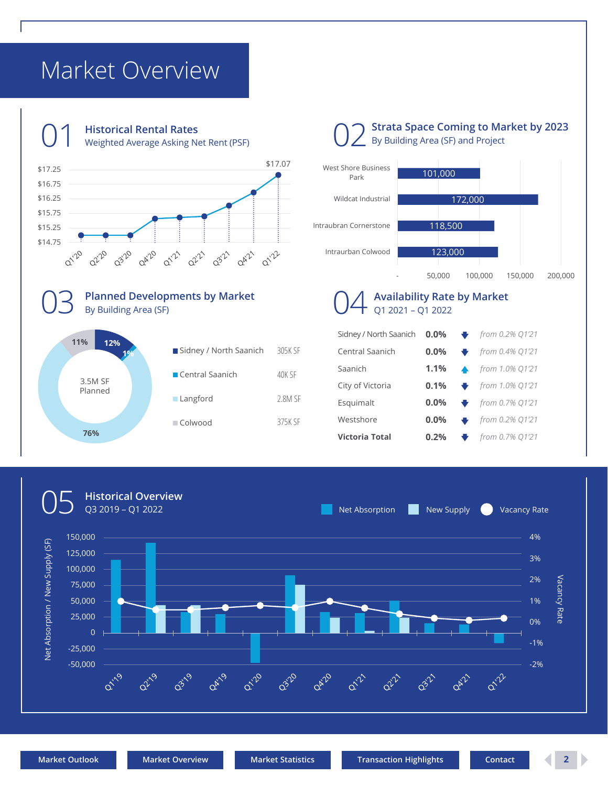## <span id="page-1-0"></span>Market Overview



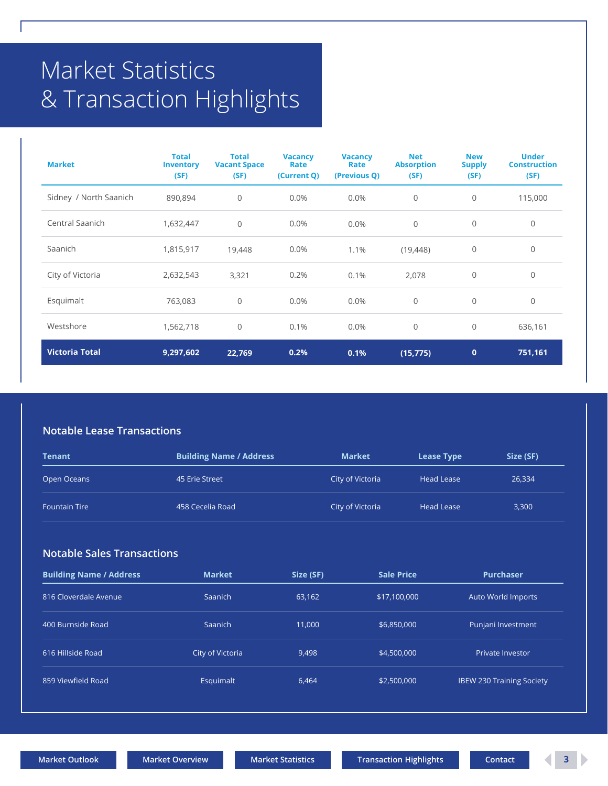# <span id="page-2-0"></span>Market Statistics & Transaction Highlights

| <b>Market</b>          | <b>Total</b><br><b>Inventory</b><br>(SF) | <b>Total</b><br><b>Vacant Space</b><br>(SF) | <b>Vacancy</b><br>Rate<br>(Current Q) | <b>Vacancy</b><br>Rate<br>(Previous Q) | <b>Net</b><br><b>Absorption</b><br>(SF) | <b>New</b><br><b>Supply</b><br>(SF) | <b>Under</b><br><b>Construction</b><br>(SF) |
|------------------------|------------------------------------------|---------------------------------------------|---------------------------------------|----------------------------------------|-----------------------------------------|-------------------------------------|---------------------------------------------|
| Sidney / North Saanich | 890,894                                  | $\mathbb O$                                 | 0.0%                                  | 0.0%                                   | $\mathbf 0$                             | $\mathbf{0}$                        | 115,000                                     |
| Central Saanich        | 1,632,447                                | $\mathbf{0}$                                | 0.0%                                  | 0.0%                                   | $\overline{0}$                          | $\mathbf{0}$                        | 0                                           |
| Saanich                | 1,815,917                                | 19,448                                      | 0.0%                                  | 1.1%                                   | (19, 448)                               | $\mathbf 0$                         | 0                                           |
| City of Victoria       | 2,632,543                                | 3,321                                       | 0.2%                                  | 0.1%                                   | 2,078                                   | $\mathbf{0}$                        | 0                                           |
| Esquimalt              | 763,083                                  | $\mathbf{0}$                                | $0.0\%$                               | 0.0%                                   | $\overline{0}$                          | $\mathbf 0$                         | $\mathbf 0$                                 |
| Westshore              | 1,562,718                                | $\mathbf{0}$                                | 0.1%                                  | 0.0%                                   | $\overline{0}$                          | $\mathbf 0$                         | 636,161                                     |
| <b>Victoria Total</b>  | 9,297,602                                | 22,769                                      | 0.2%                                  | 0.1%                                   | (15, 775)                               | $\mathbf{0}$                        | 751,161                                     |

#### **Notable Lease Transactions**

| Tenant               | <b>Building Name / Address</b> | <b>Market</b>    | <b>Lease Type</b> | Size (SF) |
|----------------------|--------------------------------|------------------|-------------------|-----------|
| Open Oceans          | 45 Erie Street                 | City of Victoria | <b>Head Lease</b> | 26,334    |
| <b>Fountain Tire</b> | 458 Cecelia Road               | City of Victoria | <b>Head Lease</b> | 3,300     |

#### **Notable Sales Transactions**

| <b>Building Name / Address</b> | <b>Market</b>    | Size (SF) | <b>Sale Price</b> | <b>Purchaser</b>                 |
|--------------------------------|------------------|-----------|-------------------|----------------------------------|
| 816 Cloverdale Avenue          | Saanich          | 63,162    | \$17,100,000      | Auto World Imports               |
| 400 Burnside Road              | Saanich          | 11,000    | \$6,850,000       | Punjani Investment               |
| 616 Hillside Road              | City of Victoria | 9.498     | \$4,500,000       | Private Investor                 |
| 859 Viewfield Road             | Esquimalt        | 6,464     | \$2,500,000       | <b>IBEW 230 Training Society</b> |